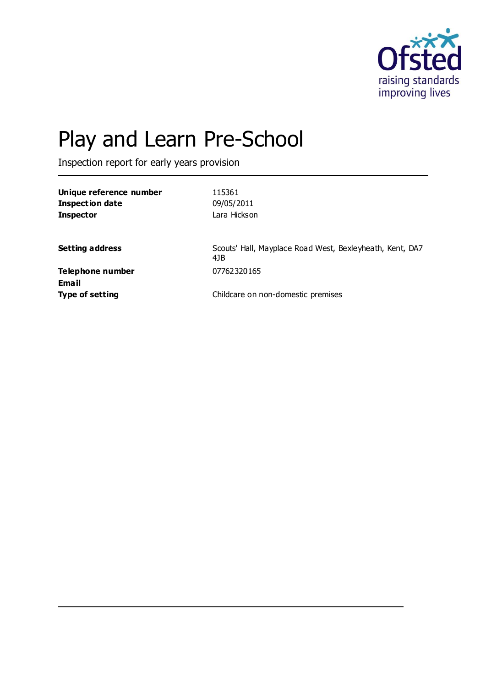

# Play and Learn Pre-School

Inspection report for early years provision

| Unique reference number | 115361                                                          |
|-------------------------|-----------------------------------------------------------------|
| <b>Inspection date</b>  | 09/05/2011                                                      |
| <b>Inspector</b>        | Lara Hickson                                                    |
|                         |                                                                 |
| <b>Setting address</b>  | Scouts' Hall, Mayplace Road West, Bexleyheath, Kent, DA7<br>4JB |
| Telephone number        | 07762320165                                                     |
| <b>Email</b>            |                                                                 |
| <b>Type of setting</b>  | Childcare on non-domestic premises                              |
|                         |                                                                 |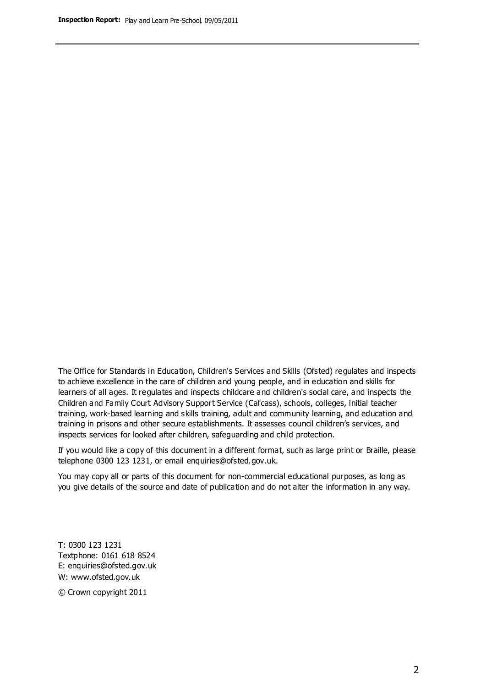The Office for Standards in Education, Children's Services and Skills (Ofsted) regulates and inspects to achieve excellence in the care of children and young people, and in education and skills for learners of all ages. It regulates and inspects childcare and children's social care, and inspects the Children and Family Court Advisory Support Service (Cafcass), schools, colleges, initial teacher training, work-based learning and skills training, adult and community learning, and education and training in prisons and other secure establishments. It assesses council children's services, and inspects services for looked after children, safeguarding and child protection.

If you would like a copy of this document in a different format, such as large print or Braille, please telephone 0300 123 1231, or email enquiries@ofsted.gov.uk.

You may copy all or parts of this document for non-commercial educational purposes, as long as you give details of the source and date of publication and do not alter the information in any way.

T: 0300 123 1231 Textphone: 0161 618 8524 E: enquiries@ofsted.gov.uk W: [www.ofsted.gov.uk](http://www.ofsted.gov.uk/)

© Crown copyright 2011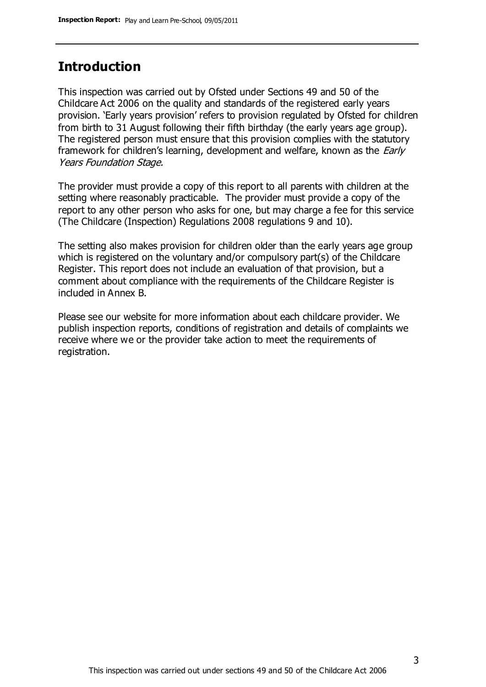## **Introduction**

This inspection was carried out by Ofsted under Sections 49 and 50 of the Childcare Act 2006 on the quality and standards of the registered early years provision. 'Early years provision' refers to provision regulated by Ofsted for children from birth to 31 August following their fifth birthday (the early years age group). The registered person must ensure that this provision complies with the statutory framework for children's learning, development and welfare, known as the *Early* Years Foundation Stage.

The provider must provide a copy of this report to all parents with children at the setting where reasonably practicable. The provider must provide a copy of the report to any other person who asks for one, but may charge a fee for this service (The Childcare (Inspection) Regulations 2008 regulations 9 and 10).

The setting also makes provision for children older than the early years age group which is registered on the voluntary and/or compulsory part(s) of the Childcare Register. This report does not include an evaluation of that provision, but a comment about compliance with the requirements of the Childcare Register is included in Annex B.

Please see our website for more information about each childcare provider. We publish inspection reports, conditions of registration and details of complaints we receive where we or the provider take action to meet the requirements of registration.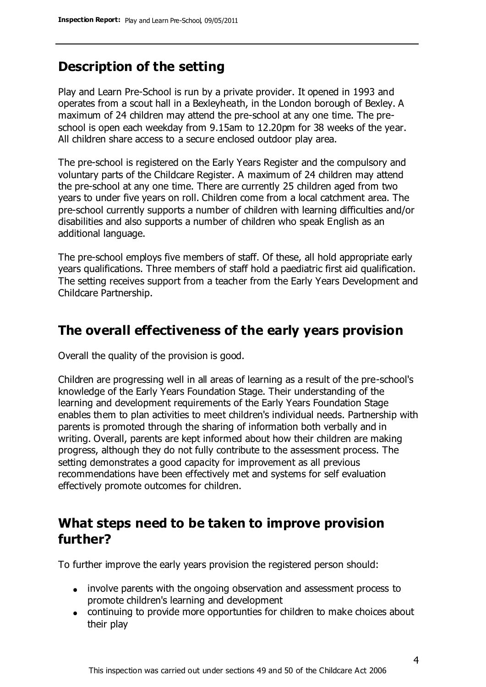## **Description of the setting**

Play and Learn Pre-School is run by a private provider. It opened in 1993 and operates from a scout hall in a Bexleyheath, in the London borough of Bexley. A maximum of 24 children may attend the pre-school at any one time. The preschool is open each weekday from 9.15am to 12.20pm for 38 weeks of the year. All children share access to a secure enclosed outdoor play area.

The pre-school is registered on the Early Years Register and the compulsory and voluntary parts of the Childcare Register. A maximum of 24 children may attend the pre-school at any one time. There are currently 25 children aged from two years to under five years on roll. Children come from a local catchment area. The pre-school currently supports a number of children with learning difficulties and/or disabilities and also supports a number of children who speak English as an additional language.

The pre-school employs five members of staff. Of these, all hold appropriate early years qualifications. Three members of staff hold a paediatric first aid qualification. The setting receives support from a teacher from the Early Years Development and Childcare Partnership.

## **The overall effectiveness of the early years provision**

Overall the quality of the provision is good.

Children are progressing well in all areas of learning as a result of the pre-school's knowledge of the Early Years Foundation Stage. Their understanding of the learning and development requirements of the Early Years Foundation Stage enables them to plan activities to meet children's individual needs. Partnership with parents is promoted through the sharing of information both verbally and in writing. Overall, parents are kept informed about how their children are making progress, although they do not fully contribute to the assessment process. The setting demonstrates a good capacity for improvement as all previous recommendations have been effectively met and systems for self evaluation effectively promote outcomes for children.

## **What steps need to be taken to improve provision further?**

To further improve the early years provision the registered person should:

- involve parents with the ongoing observation and assessment process to promote children's learning and development
- continuing to provide more opportunties for children to make choices about their play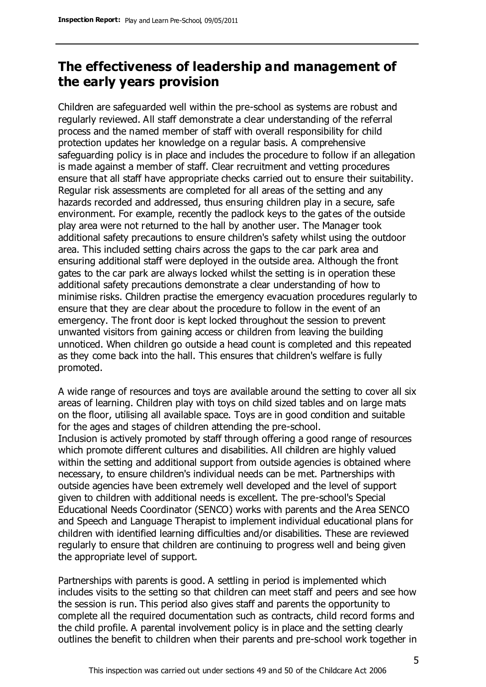# **The effectiveness of leadership and management of the early years provision**

Children are safeguarded well within the pre-school as systems are robust and regularly reviewed. All staff demonstrate a clear understanding of the referral process and the named member of staff with overall responsibility for child protection updates her knowledge on a regular basis. A comprehensive safeguarding policy is in place and includes the procedure to follow if an allegation is made against a member of staff. Clear recruitment and vetting procedures ensure that all staff have appropriate checks carried out to ensure their suitability. Regular risk assessments are completed for all areas of the setting and any hazards recorded and addressed, thus ensuring children play in a secure, safe environment. For example, recently the padlock keys to the gates of the outside play area were not returned to the hall by another user. The Manager took additional safety precautions to ensure children's safety whilst using the outdoor area. This included setting chairs across the gaps to the car park area and ensuring additional staff were deployed in the outside area. Although the front gates to the car park are always locked whilst the setting is in operation these additional safety precautions demonstrate a clear understanding of how to minimise risks. Children practise the emergency evacuation procedures regularly to ensure that they are clear about the procedure to follow in the event of an emergency. The front door is kept locked throughout the session to prevent unwanted visitors from gaining access or children from leaving the building unnoticed. When children go outside a head count is completed and this repeated as they come back into the hall. This ensures that children's welfare is fully promoted.

A wide range of resources and toys are available around the setting to cover all six areas of learning. Children play with toys on child sized tables and on large mats on the floor, utilising all available space. Toys are in good condition and suitable for the ages and stages of children attending the pre-school. Inclusion is actively promoted by staff through offering a good range of resources which promote different cultures and disabilities. All children are highly valued within the setting and additional support from outside agencies is obtained where necessary, to ensure children's individual needs can be met. Partnerships with outside agencies have been extremely well developed and the level of support given to children with additional needs is excellent. The pre-school's Special Educational Needs Coordinator (SENCO) works with parents and the Area SENCO and Speech and Language Therapist to implement individual educational plans for children with identified learning difficulties and/or disabilities. These are reviewed regularly to ensure that children are continuing to progress well and being given the appropriate level of support.

Partnerships with parents is good. A settling in period is implemented which includes visits to the setting so that children can meet staff and peers and see how the session is run. This period also gives staff and parents the opportunity to complete all the required documentation such as contracts, child record forms and the child profile. A parental involvement policy is in place and the setting clearly outlines the benefit to children when their parents and pre-school work together in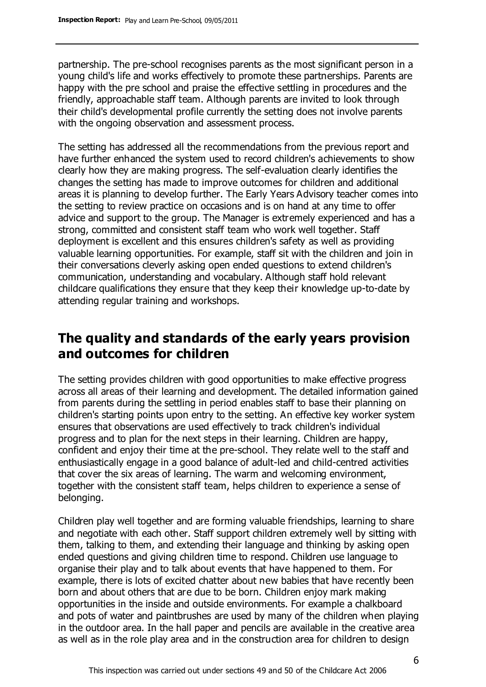partnership. The pre-school recognises parents as the most significant person in a young child's life and works effectively to promote these partnerships. Parents are happy with the pre school and praise the effective settling in procedures and the friendly, approachable staff team. Although parents are invited to look through their child's developmental profile currently the setting does not involve parents with the ongoing observation and assessment process.

The setting has addressed all the recommendations from the previous report and have further enhanced the system used to record children's achievements to show clearly how they are making progress. The self-evaluation clearly identifies the changes the setting has made to improve outcomes for children and additional areas it is planning to develop further. The Early Years Advisory teacher comes into the setting to review practice on occasions and is on hand at any time to offer advice and support to the group. The Manager is extremely experienced and has a strong, committed and consistent staff team who work well together. Staff deployment is excellent and this ensures children's safety as well as providing valuable learning opportunities. For example, staff sit with the children and join in their conversations cleverly asking open ended questions to extend children's communication, understanding and vocabulary. Although staff hold relevant childcare qualifications they ensure that they keep their knowledge up-to-date by attending regular training and workshops.

# **The quality and standards of the early years provision and outcomes for children**

The setting provides children with good opportunities to make effective progress across all areas of their learning and development. The detailed information gained from parents during the settling in period enables staff to base their planning on children's starting points upon entry to the setting. An effective key worker system ensures that observations are used effectively to track children's individual progress and to plan for the next steps in their learning. Children are happy, confident and enjoy their time at the pre-school. They relate well to the staff and enthusiastically engage in a good balance of adult-led and child-centred activities that cover the six areas of learning. The warm and welcoming environment, together with the consistent staff team, helps children to experience a sense of belonging.

Children play well together and are forming valuable friendships, learning to share and negotiate with each other. Staff support children extremely well by sitting with them, talking to them, and extending their language and thinking by asking open ended questions and giving children time to respond. Children use language to organise their play and to talk about events that have happened to them. For example, there is lots of excited chatter about new babies that have recently been born and about others that are due to be born. Children enjoy mark making opportunities in the inside and outside environments. For example a chalkboard and pots of water and paintbrushes are used by many of the children when playing in the outdoor area. In the hall paper and pencils are available in the creative area as well as in the role play area and in the construction area for children to design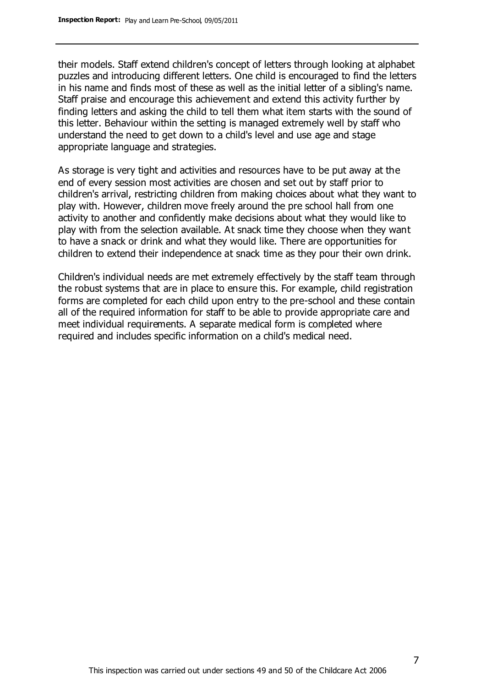their models. Staff extend children's concept of letters through looking at alphabet puzzles and introducing different letters. One child is encouraged to find the letters in his name and finds most of these as well as the initial letter of a sibling's name. Staff praise and encourage this achievement and extend this activity further by finding letters and asking the child to tell them what item starts with the sound of this letter. Behaviour within the setting is managed extremely well by staff who understand the need to get down to a child's level and use age and stage appropriate language and strategies.

As storage is very tight and activities and resources have to be put away at the end of every session most activities are chosen and set out by staff prior to children's arrival, restricting children from making choices about what they want to play with. However, children move freely around the pre school hall from one activity to another and confidently make decisions about what they would like to play with from the selection available. At snack time they choose when they want to have a snack or drink and what they would like. There are opportunities for children to extend their independence at snack time as they pour their own drink.

Children's individual needs are met extremely effectively by the staff team through the robust systems that are in place to ensure this. For example, child registration forms are completed for each child upon entry to the pre-school and these contain all of the required information for staff to be able to provide appropriate care and meet individual requirements. A separate medical form is completed where required and includes specific information on a child's medical need.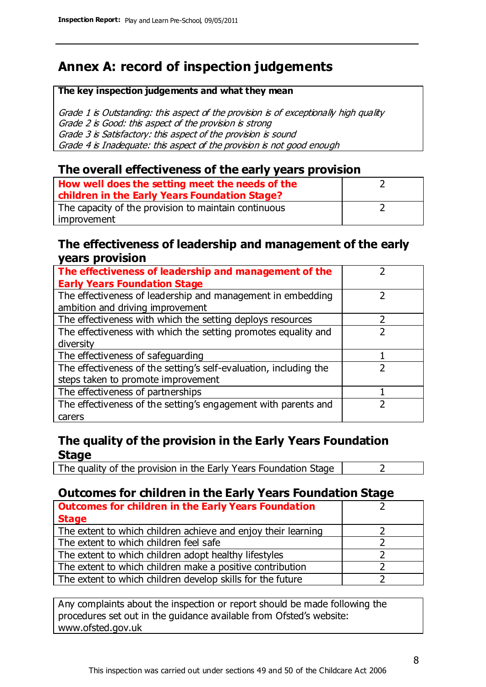# **Annex A: record of inspection judgements**

#### **The key inspection judgements and what they mean**

Grade 1 is Outstanding: this aspect of the provision is of exceptionally high quality Grade 2 is Good: this aspect of the provision is strong Grade 3 is Satisfactory: this aspect of the provision is sound Grade 4 is Inadequate: this aspect of the provision is not good enough

#### **The overall effectiveness of the early years provision**

| How well does the setting meet the needs of the<br>children in the Early Years Foundation Stage? |  |
|--------------------------------------------------------------------------------------------------|--|
| The capacity of the provision to maintain continuous                                             |  |
| improvement                                                                                      |  |

#### **The effectiveness of leadership and management of the early years provision**

| The effectiveness of leadership and management of the             |  |
|-------------------------------------------------------------------|--|
| <b>Early Years Foundation Stage</b>                               |  |
| The effectiveness of leadership and management in embedding       |  |
| ambition and driving improvement                                  |  |
| The effectiveness with which the setting deploys resources        |  |
| The effectiveness with which the setting promotes equality and    |  |
| diversity                                                         |  |
| The effectiveness of safeguarding                                 |  |
| The effectiveness of the setting's self-evaluation, including the |  |
| steps taken to promote improvement                                |  |
| The effectiveness of partnerships                                 |  |
| The effectiveness of the setting's engagement with parents and    |  |
| carers                                                            |  |

#### **The quality of the provision in the Early Years Foundation Stage**

The quality of the provision in the Early Years Foundation Stage  $\vert$  2

### **Outcomes for children in the Early Years Foundation Stage**

| <b>Outcomes for children in the Early Years Foundation</b>    |  |
|---------------------------------------------------------------|--|
| <b>Stage</b>                                                  |  |
| The extent to which children achieve and enjoy their learning |  |
| The extent to which children feel safe                        |  |
| The extent to which children adopt healthy lifestyles         |  |
| The extent to which children make a positive contribution     |  |
| The extent to which children develop skills for the future    |  |

Any complaints about the inspection or report should be made following the procedures set out in the guidance available from Ofsted's website: www.ofsted.gov.uk